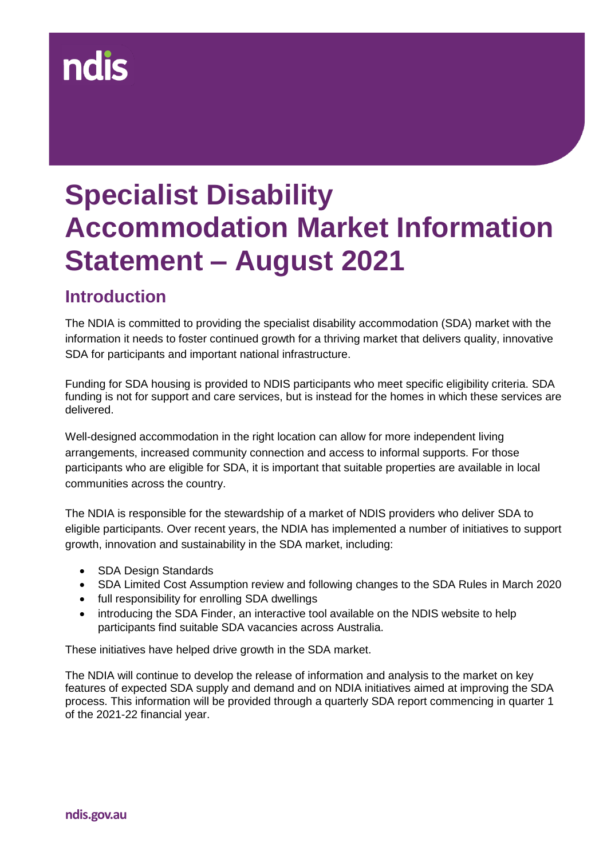# **ndis**

# **Specialist Disability Accommodation Market Information Statement – August 2021**

#### **Introduction**

The NDIA is committed to providing the specialist disability accommodation (SDA) market with the information it needs to foster continued growth for a thriving market that delivers quality, innovative SDA for participants and important national infrastructure.

Funding for SDA housing is provided to NDIS participants who meet specific eligibility criteria. SDA funding is not for support and care services, but is instead for the homes in which these services are delivered.

Well-designed accommodation in the right location can allow for more independent living arrangements, increased community connection and access to informal supports. For those participants who are eligible for SDA, it is important that suitable properties are available in local communities across the country.

The NDIA is responsible for the stewardship of a market of NDIS providers who deliver SDA to eligible participants. Over recent years, the NDIA has implemented a number of initiatives to support growth, innovation and sustainability in the SDA market, including:

- SDA Design Standards
- SDA Limited Cost Assumption review and following changes to the SDA Rules in March 2020
- full responsibility for enrolling SDA dwellings
- introducing the SDA Finder, an interactive tool available on the NDIS website to help participants find suitable SDA vacancies across Australia.

These initiatives have helped drive growth in the SDA market.

The NDIA will continue to develop the release of information and analysis to the market on key features of expected SDA supply and demand and on NDIA initiatives aimed at improving the SDA process. This information will be provided through a quarterly SDA report commencing in quarter 1 of the 2021-22 financial year.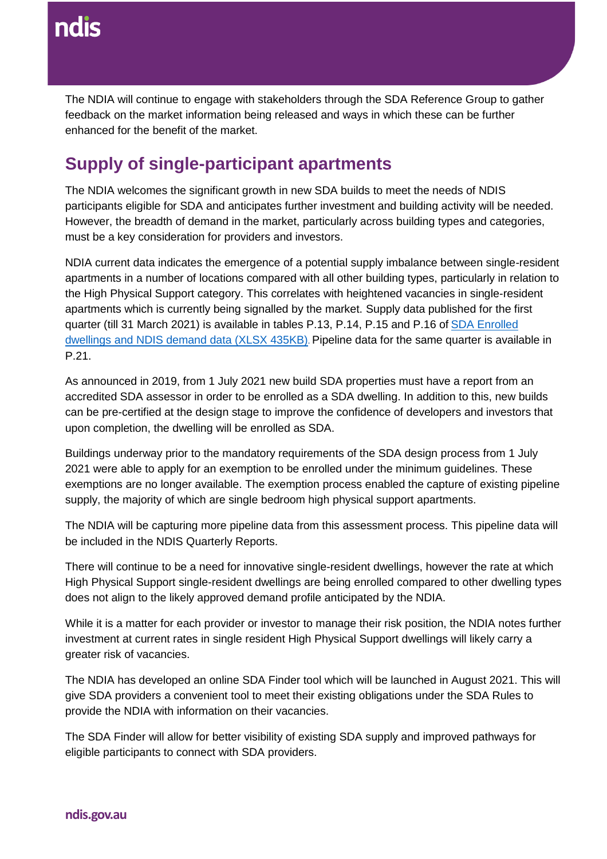The NDIA will continue to engage with stakeholders through the SDA Reference Group to gather feedback on the market information being released and ways in which these can be further enhanced for the benefit of the market.

## **Supply of single-participant apartments**

The NDIA welcomes the significant growth in new SDA builds to meet the needs of NDIS participants eligible for SDA and anticipates further investment and building activity will be needed. However, the breadth of demand in the market, particularly across building types and categories, must be a key consideration for providers and investors.

NDIA current data indicates the emergence of a potential supply imbalance between single-resident apartments in a number of locations compared with all other building types, particularly in relation to the High Physical Support category. This correlates with heightened vacancies in single-resident apartments which is currently being signalled by the market. Supply data published for the first quarter (till 31 March 2021) is available in tables P.13, P.14, P.15 and P.16 of [SDA Enrolled](https://data.ndis.gov.au/media/2770/download)  [dwellings and NDIS demand data \(XLSX 435KB\)](https://data.ndis.gov.au/media/2770/download). Pipeline data for the same quarter is available in P.21.

[As announced in 2019,](https://ndis.gov.au/providers/housing-and-living-supports-and-services/specialist-disability-accommodation/sda-registration-and-dwelling-enrolment) from 1 July 2021 new build SDA properties must have a report from an accredited SDA assessor in order to be enrolled as a SDA dwelling. In addition to this, new builds can be pre-certified at the design stage to improve the confidence of developers and investors that upon completion, the dwelling will be enrolled as SDA.

Buildings underway prior to the mandatory requirements of the SDA design process from 1 July 2021 were able to apply for an exemption to be enrolled under the minimum guidelines. These exemptions are no longer available. The exemption process enabled the capture of existing pipeline supply, the majority of which are single bedroom high physical support apartments.

The NDIA will be capturing more pipeline data from this assessment process. This pipeline data will be included in the NDIS Quarterly Reports.

There will continue to be a need for innovative single-resident dwellings, however the rate at which High Physical Support single-resident dwellings are being enrolled compared to other dwelling types does not align to the likely approved demand profile anticipated by the NDIA.

While it is a matter for each provider or investor to manage their risk position, the NDIA notes further investment at current rates in single resident High Physical Support dwellings will likely carry a greater risk of vacancies.

The NDIA has developed an online SDA Finder tool which will be launched in August 2021. This will give SDA providers a convenient tool to meet their existing obligations under the SDA Rules to provide the NDIA with information on their vacancies.

The SDA Finder will allow for better visibility of existing SDA supply and improved pathways for eligible participants to connect with SDA providers.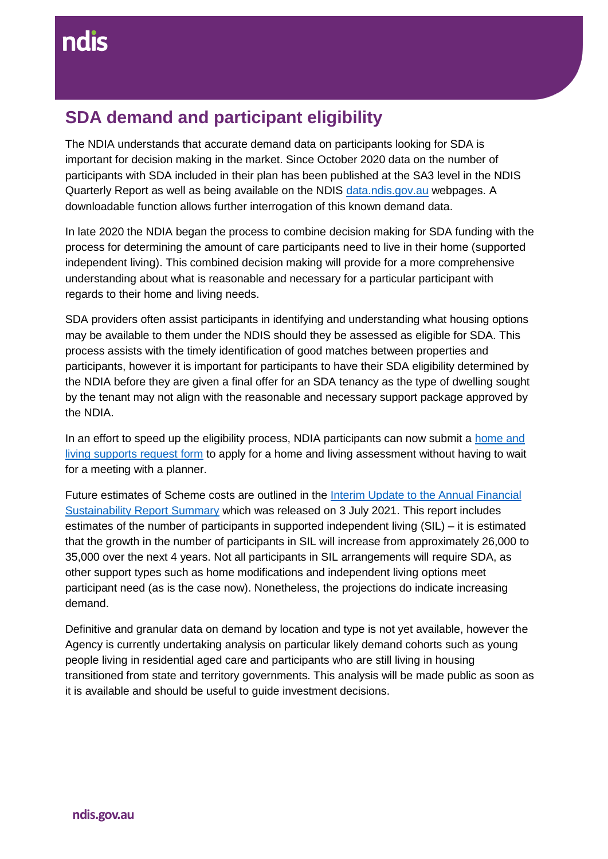## **SDA demand and participant eligibility**

The NDIA understands that accurate demand data on participants looking for SDA is important for decision making in the market. Since October 2020 data on the number of participants with SDA included in their plan has been published at the SA3 level in the NDIS Quarterly Report as well as being available on the NDIS [data.ndis.gov.au](https://data.ndis.gov.au/) webpages. A downloadable function allows further interrogation of this known demand data.

In late 2020 the NDIA began the process to combine decision making for SDA funding with the process for determining the amount of care participants need to live in their home (supported independent living). This combined decision making will provide for a more comprehensive understanding about what is reasonable and necessary for a particular participant with regards to their home and living needs.

SDA providers often assist participants in identifying and understanding what housing options may be available to them under the NDIS should they be assessed as eligible for SDA. This process assists with the timely identification of good matches between properties and participants, however it is important for participants to have their SDA eligibility determined by the NDIA before they are given a final offer for an SDA tenancy as the type of dwelling sought by the tenant may not align with the reasonable and necessary support package approved by the NDIA.

In an effort to speed up the eligibility process, NDIA participants can now submit a home and [living supports request form](https://www.ndis.gov.au/participants/home-and-living/home-and-living-supports-request-form) to apply for a home and living assessment without having to wait for a meeting with a planner.

Future estimates of Scheme costs are outlined in the [Interim Update to the Annual Financial](https://www.ndis.gov.au/about-us/publications#afsr)  [Sustainability Report Summary](https://www.ndis.gov.au/about-us/publications#afsr) which was released on 3 July 2021. This report includes estimates of the number of participants in supported independent living (SIL) – it is estimated that the growth in the number of participants in SIL will increase from approximately 26,000 to 35,000 over the next 4 years. Not all participants in SIL arrangements will require SDA, as other support types such as home modifications and independent living options meet participant need (as is the case now). Nonetheless, the projections do indicate increasing demand.

Definitive and granular data on demand by location and type is not yet available, however the Agency is currently undertaking analysis on particular likely demand cohorts such as young people living in residential aged care and participants who are still living in housing transitioned from state and territory governments. This analysis will be made public as soon as it is available and should be useful to guide investment decisions.